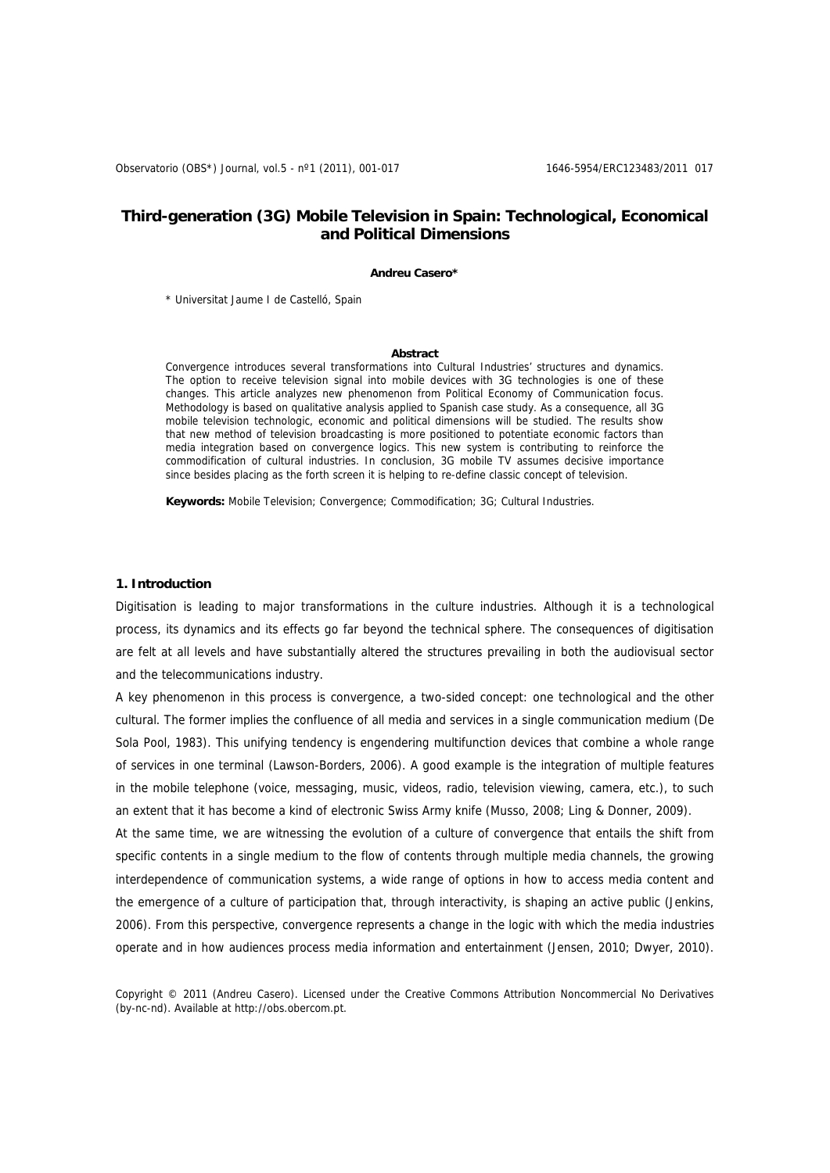# **Third-generation (3G) Mobile Television in Spain: Technological, Economical and Political Dimensions**

### **Andreu Casero\***

\* Universitat Jaume I de Castelló, Spain

### **Abstract**

Convergence introduces several transformations into Cultural Industries' structures and dynamics. The option to receive television signal into mobile devices with 3G technologies is one of these changes. This article analyzes new phenomenon from Political Economy of Communication focus. Methodology is based on qualitative analysis applied to Spanish case study. As a consequence, all 3G mobile television technologic, economic and political dimensions will be studied. The results show that new method of television broadcasting is more positioned to potentiate economic factors than media integration based on convergence logics. This new system is contributing to reinforce the commodification of cultural industries. In conclusion, 3G mobile TV assumes decisive importance since besides placing as the forth screen it is helping to re-define classic concept of television.

**Keywords:** Mobile Television; Convergence; Commodification; 3G; Cultural Industries.

### **1. Introduction**

Digitisation is leading to major transformations in the culture industries. Although it is a technological process, its dynamics and its effects go far beyond the technical sphere. The consequences of digitisation are felt at all levels and have substantially altered the structures prevailing in both the audiovisual sector and the telecommunications industry.

A key phenomenon in this process is convergence, a two-sided concept: one technological and the other cultural. The former implies the confluence of all media and services in a single communication medium (De Sola Pool, 1983). This unifying tendency is engendering multifunction devices that combine a whole range of services in one terminal (Lawson-Borders, 2006). A good example is the integration of multiple features in the mobile telephone (voice, messaging, music, videos, radio, television viewing, camera, etc.), to such an extent that it has become a kind of electronic Swiss Army knife (Musso, 2008; Ling & Donner, 2009).

At the same time, we are witnessing the evolution of a culture of convergence that entails the shift from specific contents in a single medium to the flow of contents through multiple media channels, the growing interdependence of communication systems, a wide range of options in how to access media content and the emergence of a culture of participation that, through interactivity, is shaping an active public (Jenkins, 2006). From this perspective, convergence represents a change in the logic with which the media industries operate and in how audiences process media information and entertainment (Jensen, 2010; Dwyer, 2010).

Copyright © 2011 (Andreu Casero). Licensed under the Creative Commons Attribution Noncommercial No Derivatives (by-nc-nd). Available at http://obs.obercom.pt.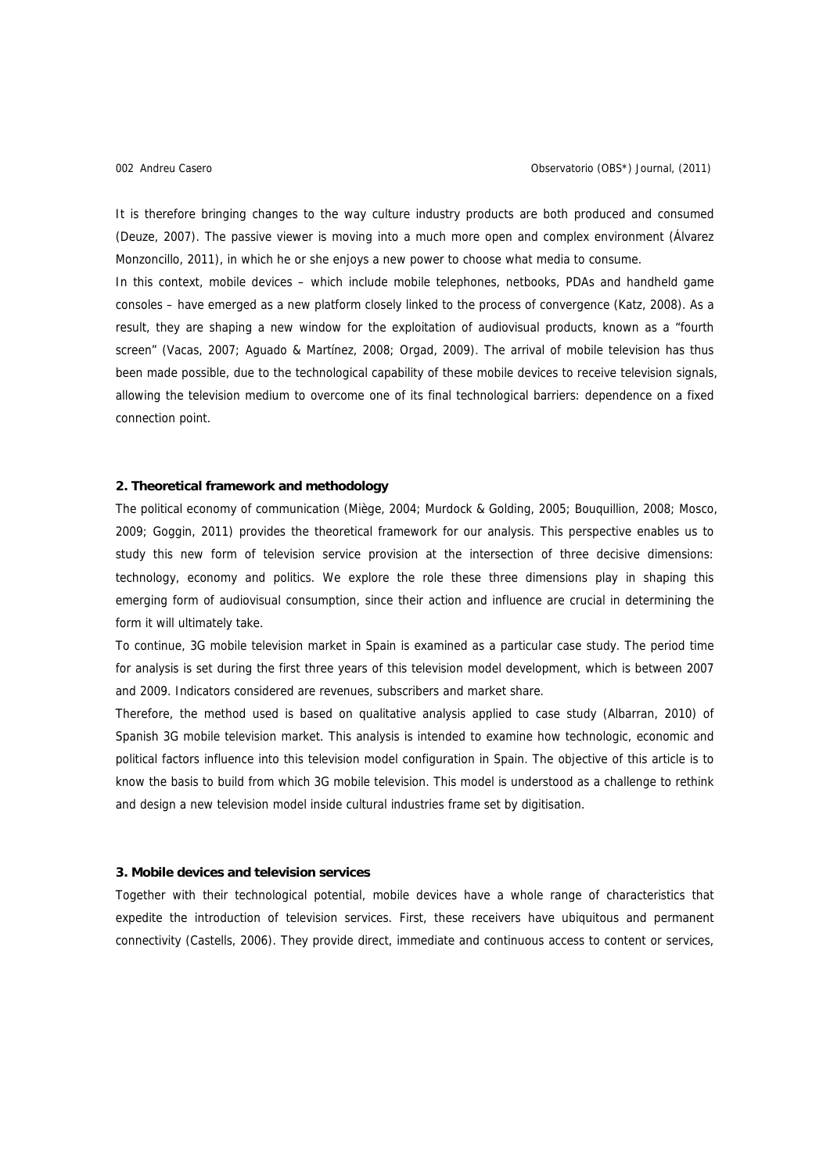It is therefore bringing changes to the way culture industry products are both produced and consumed (Deuze, 2007). The passive viewer is moving into a much more open and complex environment (Álvarez Monzoncillo, 2011), in which he or she enjoys a new power to choose what media to consume. In this context, mobile devices – which include mobile telephones, netbooks, PDAs and handheld game consoles – have emerged as a new platform closely linked to the process of convergence (Katz, 2008). As a result, they are shaping a new window for the exploitation of audiovisual products, known as a "fourth screen" (Vacas, 2007; Aguado & Martínez, 2008; Orgad, 2009). The arrival of mobile television has thus been made possible, due to the technological capability of these mobile devices to receive television signals, allowing the television medium to overcome one of its final technological barriers: dependence on a fixed connection point.

## **2. Theoretical framework and methodology**

The political economy of communication (Miège, 2004; Murdock & Golding, 2005; Bouquillion, 2008; Mosco, 2009; Goggin, 2011) provides the theoretical framework for our analysis. This perspective enables us to study this new form of television service provision at the intersection of three decisive dimensions: technology, economy and politics. We explore the role these three dimensions play in shaping this emerging form of audiovisual consumption, since their action and influence are crucial in determining the form it will ultimately take.

To continue, 3G mobile television market in Spain is examined as a particular case study. The period time for analysis is set during the first three years of this television model development, which is between 2007 and 2009. Indicators considered are revenues, subscribers and market share.

Therefore, the method used is based on qualitative analysis applied to case study (Albarran, 2010) of Spanish 3G mobile television market. This analysis is intended to examine how technologic, economic and political factors influence into this television model configuration in Spain. The objective of this article is to know the basis to build from which 3G mobile television. This model is understood as a challenge to rethink and design a new television model inside cultural industries frame set by digitisation.

### **3. Mobile devices and television services**

Together with their technological potential, mobile devices have a whole range of characteristics that expedite the introduction of television services. First, these receivers have ubiquitous and permanent connectivity (Castells, 2006). They provide direct, immediate and continuous access to content or services,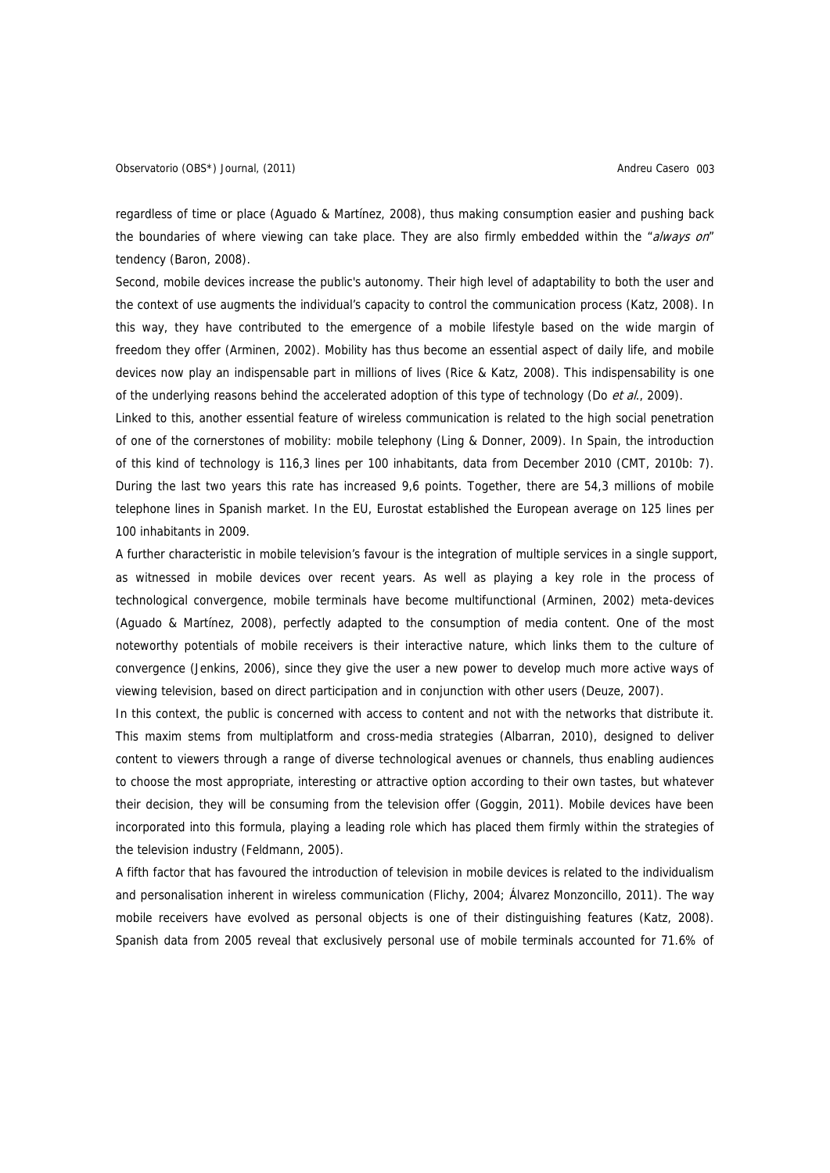regardless of time or place (Aguado & Martínez, 2008), thus making consumption easier and pushing back the boundaries of where viewing can take place. They are also firmly embedded within the "always on" tendency (Baron, 2008).

Second, mobile devices increase the public's autonomy. Their high level of adaptability to both the user and the context of use augments the individual's capacity to control the communication process (Katz, 2008). In this way, they have contributed to the emergence of a mobile lifestyle based on the wide margin of freedom they offer (Arminen, 2002). Mobility has thus become an essential aspect of daily life, and mobile devices now play an indispensable part in millions of lives (Rice & Katz, 2008). This indispensability is one of the underlying reasons behind the accelerated adoption of this type of technology (Do et al., 2009).

Linked to this, another essential feature of wireless communication is related to the high social penetration of one of the cornerstones of mobility: mobile telephony (Ling & Donner, 2009). In Spain, the introduction of this kind of technology is 116,3 lines per 100 inhabitants, data from December 2010 (CMT, 2010b: 7). During the last two years this rate has increased 9,6 points. Together, there are 54,3 millions of mobile telephone lines in Spanish market. In the EU, Eurostat established the European average on 125 lines per 100 inhabitants in 2009.

A further characteristic in mobile television's favour is the integration of multiple services in a single support, as witnessed in mobile devices over recent years. As well as playing a key role in the process of technological convergence, mobile terminals have become multifunctional (Arminen, 2002) meta-devices (Aguado & Martínez, 2008), perfectly adapted to the consumption of media content. One of the most noteworthy potentials of mobile receivers is their interactive nature, which links them to the culture of convergence (Jenkins, 2006), since they give the user a new power to develop much more active ways of viewing television, based on direct participation and in conjunction with other users (Deuze, 2007).

In this context, the public is concerned with access to content and not with the networks that distribute it. This maxim stems from multiplatform and cross-media strategies (Albarran, 2010), designed to deliver content to viewers through a range of diverse technological avenues or channels, thus enabling audiences to choose the most appropriate, interesting or attractive option according to their own tastes, but whatever their decision, they will be consuming from the television offer (Goggin, 2011). Mobile devices have been incorporated into this formula, playing a leading role which has placed them firmly within the strategies of the television industry (Feldmann, 2005).

A fifth factor that has favoured the introduction of television in mobile devices is related to the individualism and personalisation inherent in wireless communication (Flichy, 2004; Álvarez Monzoncillo, 2011). The way mobile receivers have evolved as personal objects is one of their distinguishing features (Katz, 2008). Spanish data from 2005 reveal that exclusively personal use of mobile terminals accounted for 71.6% of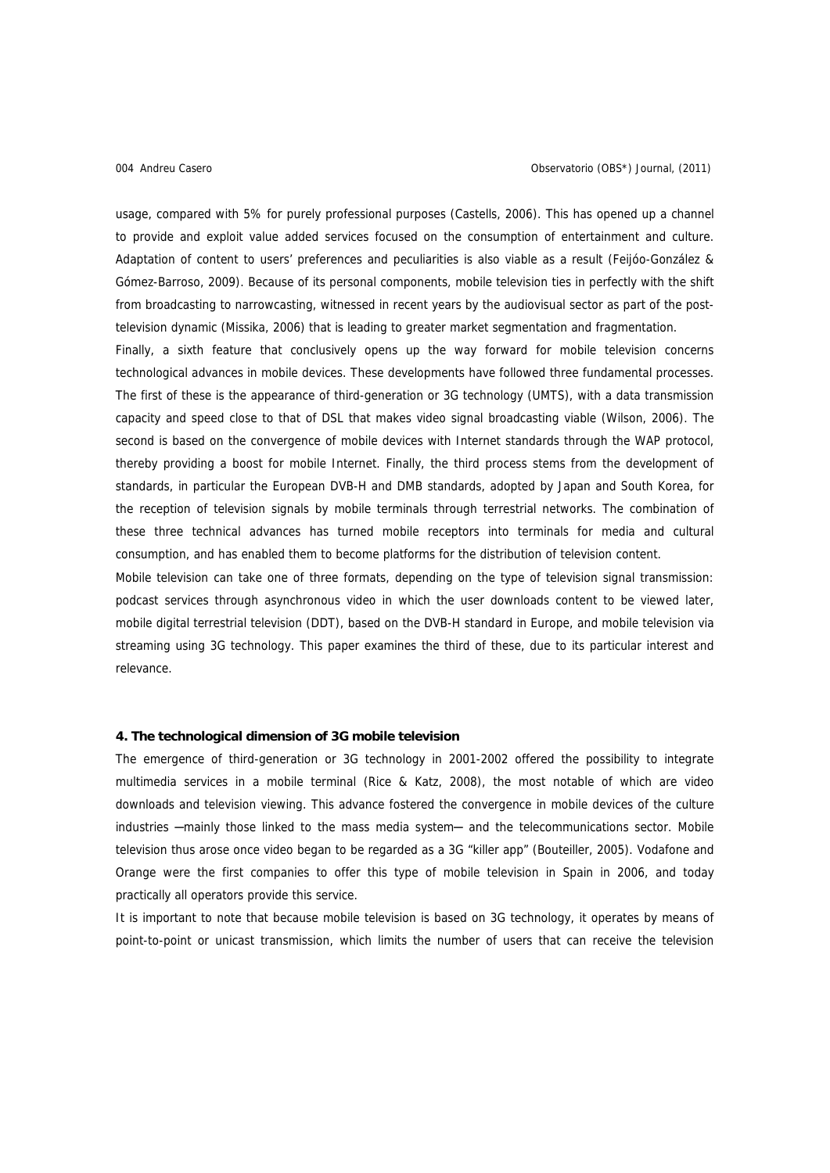usage, compared with 5% for purely professional purposes (Castells, 2006). This has opened up a channel to provide and exploit value added services focused on the consumption of entertainment and culture. Adaptation of content to users' preferences and peculiarities is also viable as a result (Feijóo-González & Gómez-Barroso, 2009). Because of its personal components, mobile television ties in perfectly with the shift from broadcasting to narrowcasting, witnessed in recent years by the audiovisual sector as part of the posttelevision dynamic (Missika, 2006) that is leading to greater market segmentation and fragmentation.

Finally, a sixth feature that conclusively opens up the way forward for mobile television concerns technological advances in mobile devices. These developments have followed three fundamental processes. The first of these is the appearance of third-generation or 3G technology (UMTS), with a data transmission capacity and speed close to that of DSL that makes video signal broadcasting viable (Wilson, 2006). The second is based on the convergence of mobile devices with Internet standards through the WAP protocol, thereby providing a boost for mobile Internet. Finally, the third process stems from the development of standards, in particular the European DVB-H and DMB standards, adopted by Japan and South Korea, for the reception of television signals by mobile terminals through terrestrial networks. The combination of these three technical advances has turned mobile receptors into terminals for media and cultural consumption, and has enabled them to become platforms for the distribution of television content.

Mobile television can take one of three formats, depending on the type of television signal transmission: podcast services through asynchronous video in which the user downloads content to be viewed later, mobile digital terrestrial television (DDT), based on the DVB-H standard in Europe, and mobile television via streaming using 3G technology. This paper examines the third of these, due to its particular interest and relevance.

### **4. The technological dimension of 3G mobile television**

The emergence of third-generation or 3G technology in 2001-2002 offered the possibility to integrate multimedia services in a mobile terminal (Rice & Katz, 2008), the most notable of which are video downloads and television viewing. This advance fostered the convergence in mobile devices of the culture industries -mainly those linked to the mass media system- and the telecommunications sector. Mobile television thus arose once video began to be regarded as a 3G "killer app" (Bouteiller, 2005). Vodafone and Orange were the first companies to offer this type of mobile television in Spain in 2006, and today practically all operators provide this service.

It is important to note that because mobile television is based on 3G technology, it operates by means of point-to-point or unicast transmission, which limits the number of users that can receive the television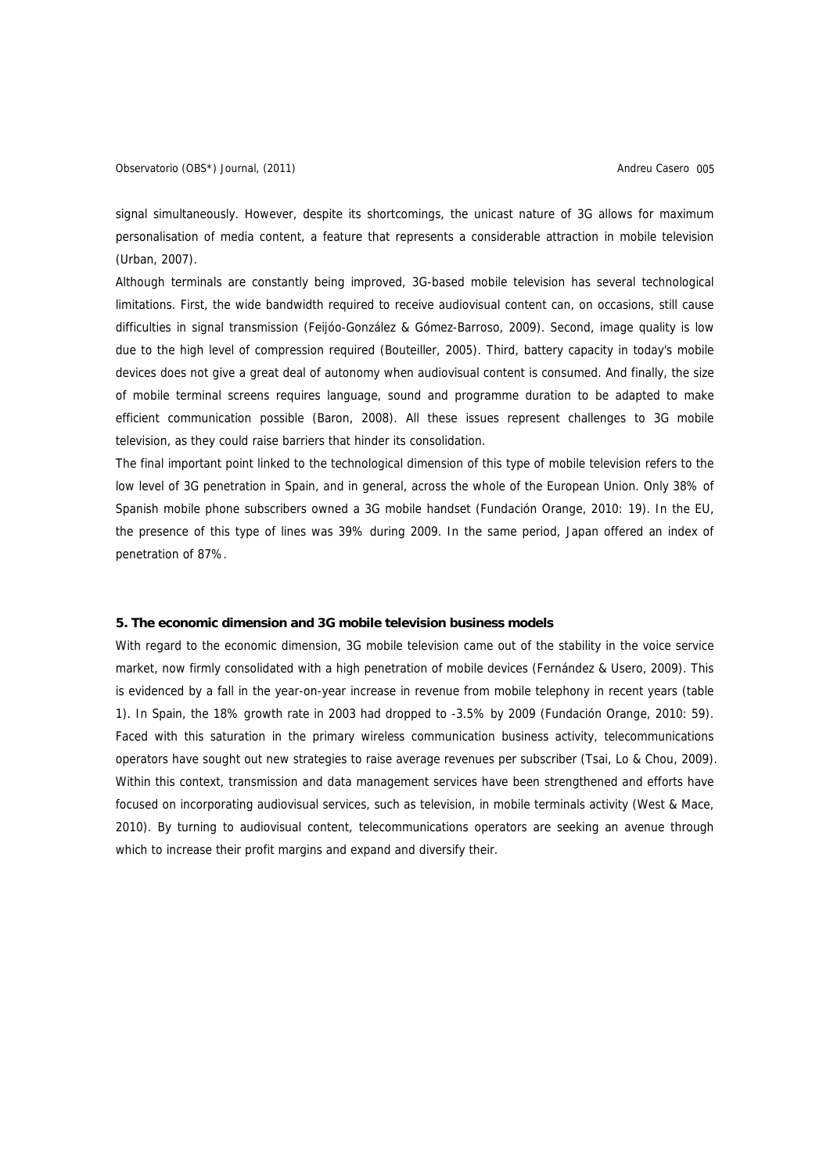signal simultaneously. However, despite its shortcomings, the unicast nature of 3G allows for maximum personalisation of media content, a feature that represents a considerable attraction in mobile television (Urban, 2007).

Although terminals are constantly being improved, 3G-based mobile television has several technological limitations. First, the wide bandwidth required to receive audiovisual content can, on occasions, still cause difficulties in signal transmission (Feijóo-González & Gómez-Barroso, 2009). Second, image quality is low due to the high level of compression required (Bouteiller, 2005). Third, battery capacity in today's mobile devices does not give a great deal of autonomy when audiovisual content is consumed. And finally, the size of mobile terminal screens requires language, sound and programme duration to be adapted to make efficient communication possible (Baron, 2008). All these issues represent challenges to 3G mobile television, as they could raise barriers that hinder its consolidation.

The final important point linked to the technological dimension of this type of mobile television refers to the low level of 3G penetration in Spain, and in general, across the whole of the European Union. Only 38% of Spanish mobile phone subscribers owned a 3G mobile handset (Fundación Orange, 2010: 19). In the EU, the presence of this type of lines was 39% during 2009. In the same period, Japan offered an index of penetration of 87%.

# **5. The economic dimension and 3G mobile television business models**

With regard to the economic dimension, 3G mobile television came out of the stability in the voice service market, now firmly consolidated with a high penetration of mobile devices (Fernández & Usero, 2009). This is evidenced by a fall in the year-on-year increase in revenue from mobile telephony in recent years (table 1). In Spain, the 18% growth rate in 2003 had dropped to -3.5% by 2009 (Fundación Orange, 2010: 59). Faced with this saturation in the primary wireless communication business activity, telecommunications operators have sought out new strategies to raise average revenues per subscriber (Tsai, Lo & Chou, 2009). Within this context, transmission and data management services have been strengthened and efforts have focused on incorporating audiovisual services, such as television, in mobile terminals activity (West & Mace, 2010). By turning to audiovisual content, telecommunications operators are seeking an avenue through which to increase their profit margins and expand and diversify their.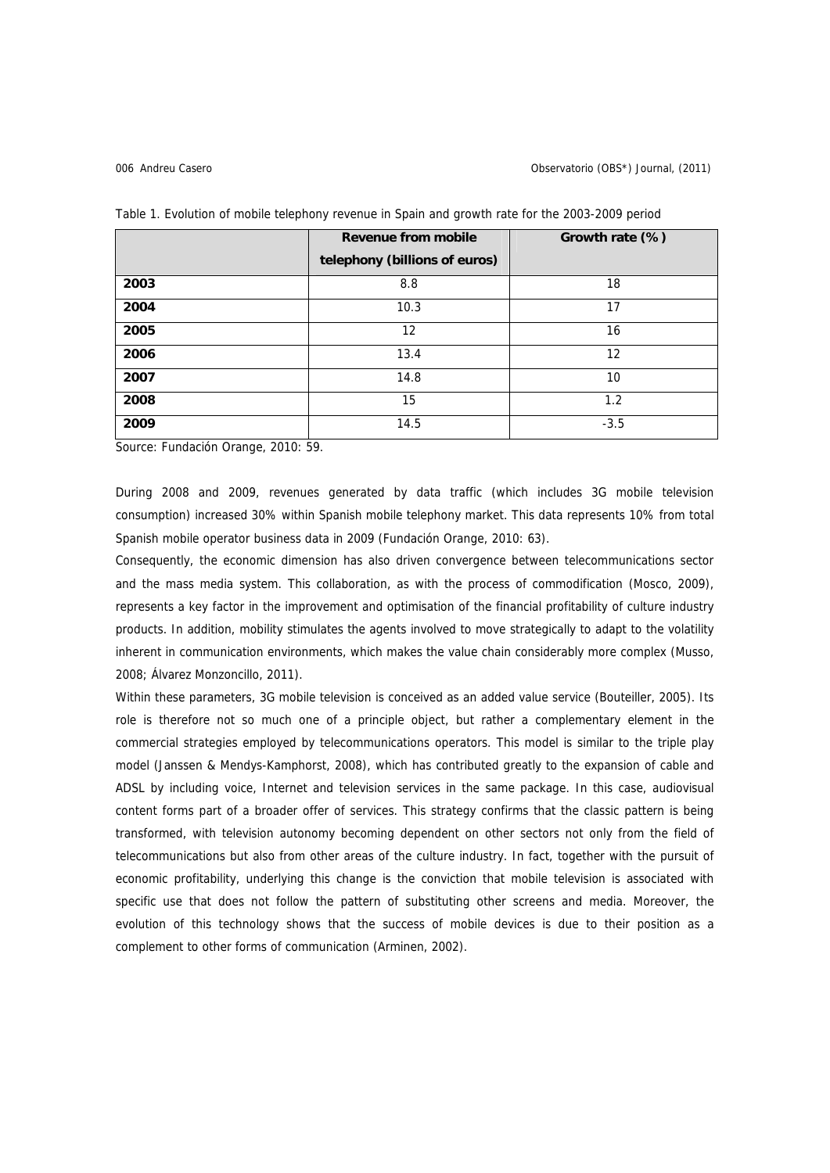|      | <b>Revenue from mobile</b>    | Growth rate (%) |  |
|------|-------------------------------|-----------------|--|
|      | telephony (billions of euros) |                 |  |
| 2003 | 8.8                           | 18              |  |
| 2004 | 10.3                          | 17              |  |
| 2005 | 12                            | 16              |  |
| 2006 | 13.4                          | 12              |  |
| 2007 | 14.8                          | 10              |  |
| 2008 | 15                            | 1.2             |  |
| 2009 | 14.5                          | $-3.5$          |  |

Table 1. Evolution of mobile telephony revenue in Spain and growth rate for the 2003-2009 period

Source: Fundación Orange, 2010: 59.

During 2008 and 2009, revenues generated by data traffic (which includes 3G mobile television consumption) increased 30% within Spanish mobile telephony market. This data represents 10% from total Spanish mobile operator business data in 2009 (Fundación Orange, 2010: 63).

Consequently, the economic dimension has also driven convergence between telecommunications sector and the mass media system. This collaboration, as with the process of commodification (Mosco, 2009), represents a key factor in the improvement and optimisation of the financial profitability of culture industry products. In addition, mobility stimulates the agents involved to move strategically to adapt to the volatility inherent in communication environments, which makes the value chain considerably more complex (Musso, 2008; Álvarez Monzoncillo, 2011).

Within these parameters, 3G mobile television is conceived as an added value service (Bouteiller, 2005). Its role is therefore not so much one of a principle object, but rather a complementary element in the commercial strategies employed by telecommunications operators. This model is similar to the triple play model (Janssen & Mendys-Kamphorst, 2008), which has contributed greatly to the expansion of cable and ADSL by including voice, Internet and television services in the same package. In this case, audiovisual content forms part of a broader offer of services. This strategy confirms that the classic pattern is being transformed, with television autonomy becoming dependent on other sectors not only from the field of telecommunications but also from other areas of the culture industry. In fact, together with the pursuit of economic profitability, underlying this change is the conviction that mobile television is associated with specific use that does not follow the pattern of substituting other screens and media. Moreover, the evolution of this technology shows that the success of mobile devices is due to their position as a complement to other forms of communication (Arminen, 2002).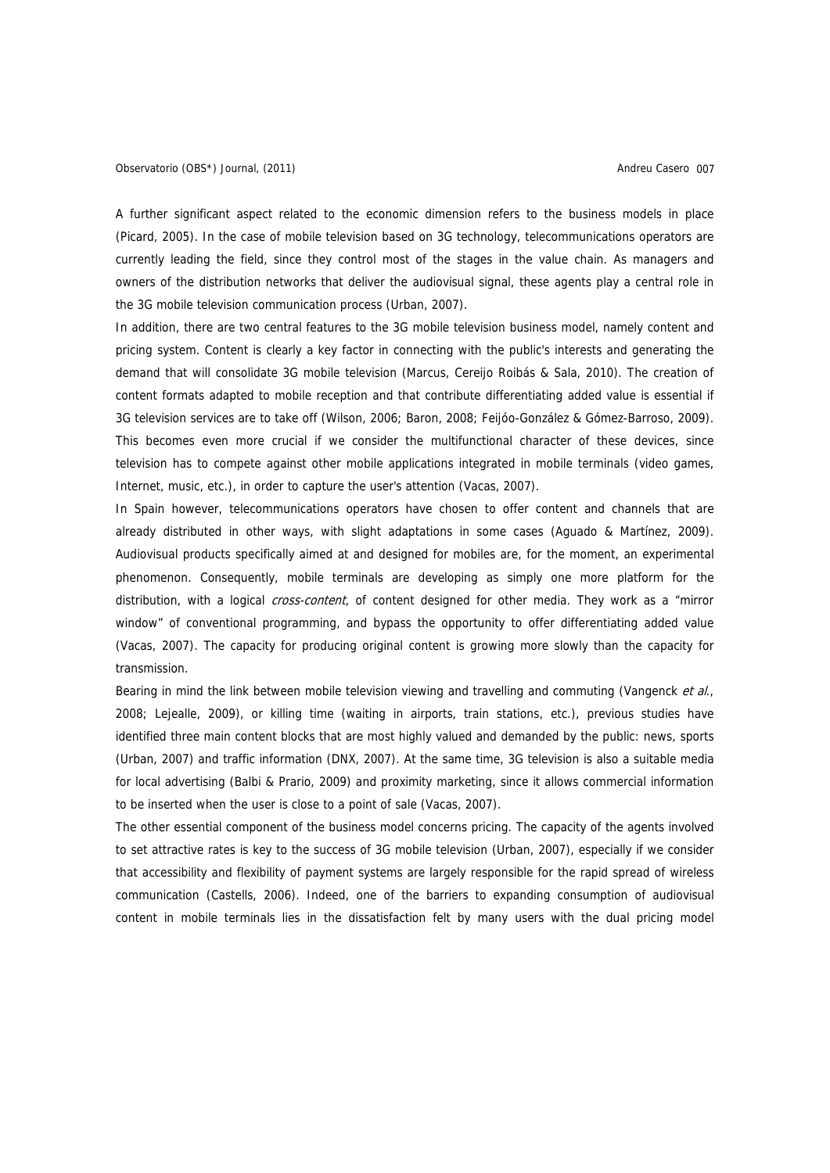A further significant aspect related to the economic dimension refers to the business models in place (Picard, 2005). In the case of mobile television based on 3G technology, telecommunications operators are currently leading the field, since they control most of the stages in the value chain. As managers and owners of the distribution networks that deliver the audiovisual signal, these agents play a central role in the 3G mobile television communication process (Urban, 2007).

In addition, there are two central features to the 3G mobile television business model, namely content and pricing system. Content is clearly a key factor in connecting with the public's interests and generating the demand that will consolidate 3G mobile television (Marcus, Cereijo Roibás & Sala, 2010). The creation of content formats adapted to mobile reception and that contribute differentiating added value is essential if 3G television services are to take off (Wilson, 2006; Baron, 2008; Feijóo-González & Gómez-Barroso, 2009). This becomes even more crucial if we consider the multifunctional character of these devices, since television has to compete against other mobile applications integrated in mobile terminals (video games, Internet, music, etc.), in order to capture the user's attention (Vacas, 2007).

In Spain however, telecommunications operators have chosen to offer content and channels that are already distributed in other ways, with slight adaptations in some cases (Aguado & Martínez, 2009). Audiovisual products specifically aimed at and designed for mobiles are, for the moment, an experimental phenomenon. Consequently, mobile terminals are developing as simply one more platform for the distribution, with a logical *cross-content*, of content designed for other media. They work as a "mirror window" of conventional programming, and bypass the opportunity to offer differentiating added value (Vacas, 2007). The capacity for producing original content is growing more slowly than the capacity for transmission.

Bearing in mind the link between mobile television viewing and travelling and commuting (Vangenck et al., 2008; Lejealle, 2009), or killing time (waiting in airports, train stations, etc.), previous studies have identified three main content blocks that are most highly valued and demanded by the public: news, sports (Urban, 2007) and traffic information (DNX, 2007). At the same time, 3G television is also a suitable media for local advertising (Balbi & Prario, 2009) and proximity marketing, since it allows commercial information to be inserted when the user is close to a point of sale (Vacas, 2007).

The other essential component of the business model concerns pricing. The capacity of the agents involved to set attractive rates is key to the success of 3G mobile television (Urban, 2007), especially if we consider that accessibility and flexibility of payment systems are largely responsible for the rapid spread of wireless communication (Castells, 2006). Indeed, one of the barriers to expanding consumption of audiovisual content in mobile terminals lies in the dissatisfaction felt by many users with the dual pricing model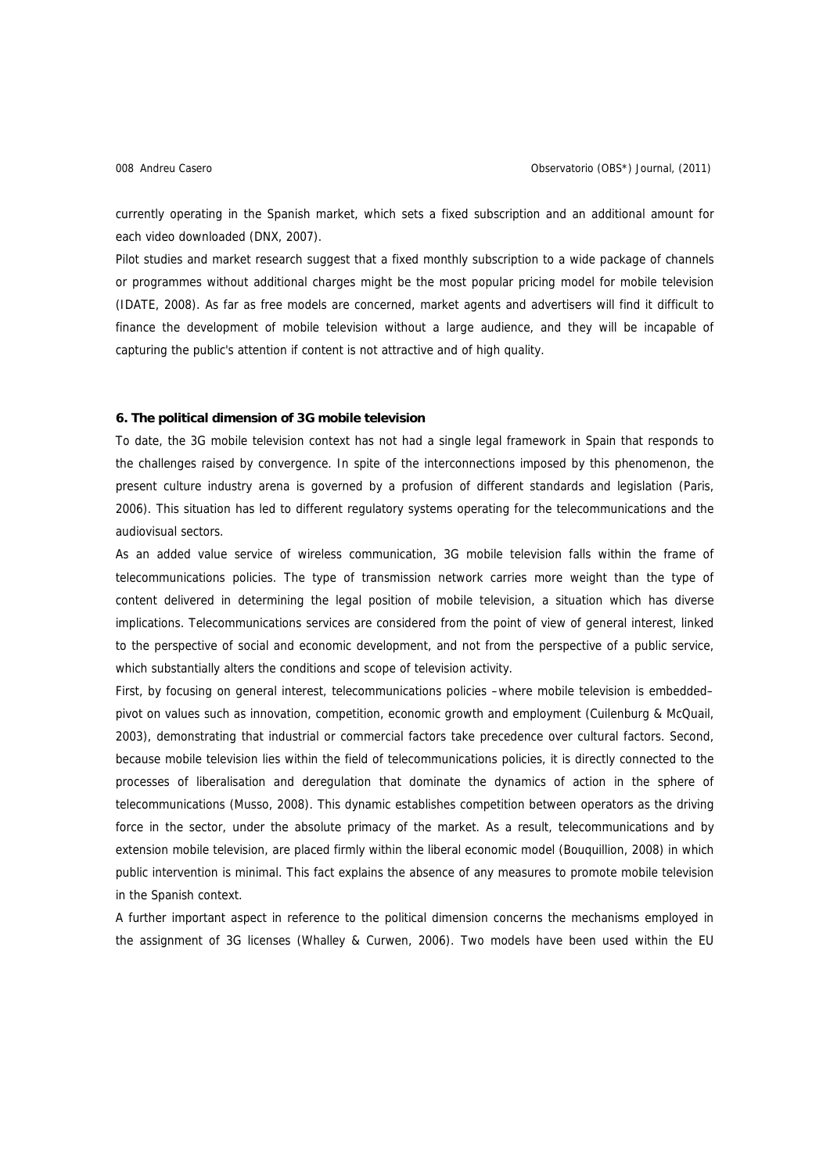currently operating in the Spanish market, which sets a fixed subscription and an additional amount for each video downloaded (DNX, 2007).

Pilot studies and market research suggest that a fixed monthly subscription to a wide package of channels or programmes without additional charges might be the most popular pricing model for mobile television (IDATE, 2008). As far as free models are concerned, market agents and advertisers will find it difficult to finance the development of mobile television without a large audience, and they will be incapable of capturing the public's attention if content is not attractive and of high quality.

## **6. The political dimension of 3G mobile television**

To date, the 3G mobile television context has not had a single legal framework in Spain that responds to the challenges raised by convergence. In spite of the interconnections imposed by this phenomenon, the present culture industry arena is governed by a profusion of different standards and legislation (Paris, 2006). This situation has led to different regulatory systems operating for the telecommunications and the audiovisual sectors.

As an added value service of wireless communication, 3G mobile television falls within the frame of telecommunications policies. The type of transmission network carries more weight than the type of content delivered in determining the legal position of mobile television, a situation which has diverse implications. Telecommunications services are considered from the point of view of general interest, linked to the perspective of social and economic development, and not from the perspective of a public service, which substantially alters the conditions and scope of television activity.

First, by focusing on general interest, telecommunications policies –where mobile television is embedded– pivot on values such as innovation, competition, economic growth and employment (Cuilenburg & McQuail, 2003), demonstrating that industrial or commercial factors take precedence over cultural factors. Second, because mobile television lies within the field of telecommunications policies, it is directly connected to the processes of liberalisation and deregulation that dominate the dynamics of action in the sphere of telecommunications (Musso, 2008). This dynamic establishes competition between operators as the driving force in the sector, under the absolute primacy of the market. As a result, telecommunications and by extension mobile television, are placed firmly within the liberal economic model (Bouquillion, 2008) in which public intervention is minimal. This fact explains the absence of any measures to promote mobile television in the Spanish context.

A further important aspect in reference to the political dimension concerns the mechanisms employed in the assignment of 3G licenses (Whalley & Curwen, 2006). Two models have been used within the EU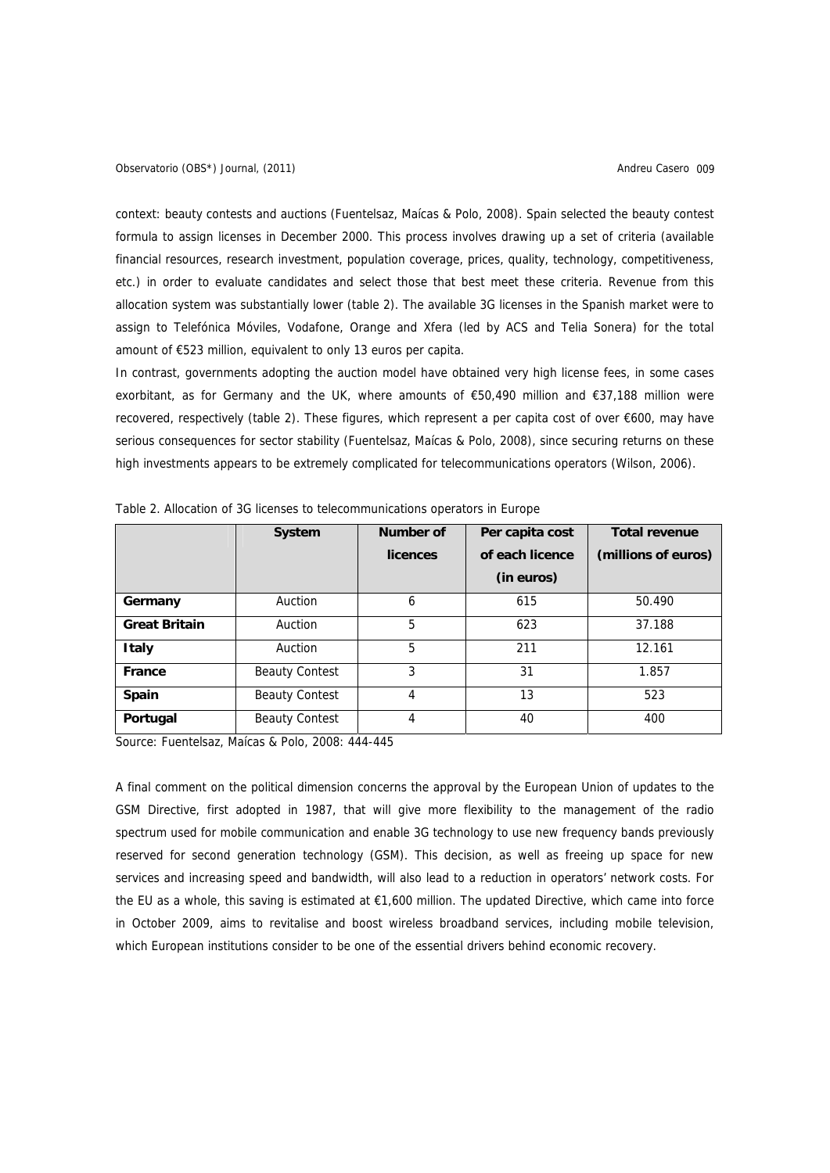context: beauty contests and auctions (Fuentelsaz, Maícas & Polo, 2008). Spain selected the beauty contest formula to assign licenses in December 2000. This process involves drawing up a set of criteria (available financial resources, research investment, population coverage, prices, quality, technology, competitiveness, etc.) in order to evaluate candidates and select those that best meet these criteria. Revenue from this allocation system was substantially lower (table 2). The available 3G licenses in the Spanish market were to assign to Telefónica Móviles, Vodafone, Orange and Xfera (led by ACS and Telia Sonera) for the total amount of €523 million, equivalent to only 13 euros per capita.

In contrast, governments adopting the auction model have obtained very high license fees, in some cases exorbitant, as for Germany and the UK, where amounts of €50,490 million and €37,188 million were recovered, respectively (table 2). These figures, which represent a per capita cost of over €600, may have serious consequences for sector stability (Fuentelsaz, Maícas & Polo, 2008), since securing returns on these high investments appears to be extremely complicated for telecommunications operators (Wilson, 2006).

|                      | <b>System</b>         | Number of | Per capita cost | <b>Total revenue</b> |
|----------------------|-----------------------|-----------|-----------------|----------------------|
|                      |                       | licences  | of each licence | (millions of euros)  |
|                      |                       |           | (in euros)      |                      |
| Germany              | Auction               | 6         | 615             | 50.490               |
| <b>Great Britain</b> | Auction               | 5         | 623             | 37.188               |
| <b>Italy</b>         | Auction               | 5         | 211             | 12.161               |
| France               | <b>Beauty Contest</b> | 3         | 31              | 1.857                |
| <b>Spain</b>         | <b>Beauty Contest</b> | 4         | 13              | 523                  |
| Portugal             | <b>Beauty Contest</b> | 4         | 40              | 400                  |

Table 2. Allocation of 3G licenses to telecommunications operators in Europe

Source: Fuentelsaz, Maícas & Polo, 2008: 444-445

A final comment on the political dimension concerns the approval by the European Union of updates to the GSM Directive, first adopted in 1987, that will give more flexibility to the management of the radio spectrum used for mobile communication and enable 3G technology to use new frequency bands previously reserved for second generation technology (GSM). This decision, as well as freeing up space for new services and increasing speed and bandwidth, will also lead to a reduction in operators' network costs. For the EU as a whole, this saving is estimated at €1,600 million. The updated Directive, which came into force in October 2009, aims to revitalise and boost wireless broadband services, including mobile television, which European institutions consider to be one of the essential drivers behind economic recovery.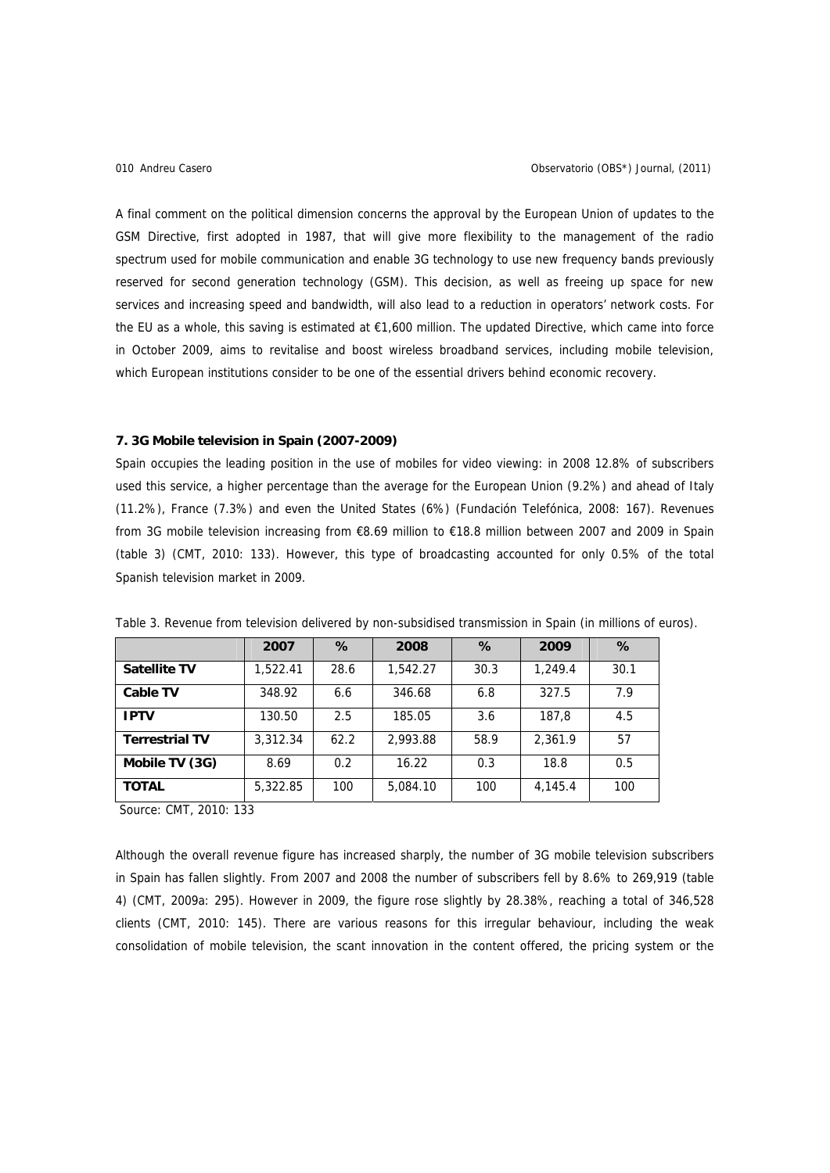A final comment on the political dimension concerns the approval by the European Union of updates to the GSM Directive, first adopted in 1987, that will give more flexibility to the management of the radio spectrum used for mobile communication and enable 3G technology to use new frequency bands previously reserved for second generation technology (GSM). This decision, as well as freeing up space for new services and increasing speed and bandwidth, will also lead to a reduction in operators' network costs. For the EU as a whole, this saving is estimated at €1,600 million. The updated Directive, which came into force in October 2009, aims to revitalise and boost wireless broadband services, including mobile television, which European institutions consider to be one of the essential drivers behind economic recovery.

### **7. 3G Mobile television in Spain (2007-2009)**

Spain occupies the leading position in the use of mobiles for video viewing: in 2008 12.8% of subscribers used this service, a higher percentage than the average for the European Union (9.2%) and ahead of Italy (11.2%), France (7.3%) and even the United States (6%) (Fundación Telefónica, 2008: 167). Revenues from 3G mobile television increasing from €8.69 million to €18.8 million between 2007 and 2009 in Spain (table 3) (CMT, 2010: 133). However, this type of broadcasting accounted for only 0.5% of the total Spanish television market in 2009.

|                       | 2007     | $\%$ | 2008     | %    | 2009    | %    |
|-----------------------|----------|------|----------|------|---------|------|
| <b>Satellite TV</b>   | 1,522.41 | 28.6 | 1,542.27 | 30.3 | 1,249.4 | 30.1 |
| <b>Cable TV</b>       | 348.92   | 6.6  | 346.68   | 6.8  | 327.5   | 7.9  |
| <b>IPTV</b>           | 130.50   | 2.5  | 185.05   | 3.6  | 187.8   | 4.5  |
| <b>Terrestrial TV</b> | 3,312.34 | 62.2 | 2,993.88 | 58.9 | 2,361.9 | 57   |
| Mobile TV (3G)        | 8.69     | 0.2  | 16.22    | 0.3  | 18.8    | 0.5  |
| <b>TOTAL</b>          | 5,322.85 | 100  | 5,084.10 | 100  | 4,145.4 | 100  |

Table 3. Revenue from television delivered by non-subsidised transmission in Spain (in millions of euros).

Source: CMT, 2010: 133

Although the overall revenue figure has increased sharply, the number of 3G mobile television subscribers in Spain has fallen slightly. From 2007 and 2008 the number of subscribers fell by 8.6% to 269,919 (table 4) (CMT, 2009a: 295). However in 2009, the figure rose slightly by 28.38%, reaching a total of 346,528 clients (CMT, 2010: 145). There are various reasons for this irregular behaviour, including the weak consolidation of mobile television, the scant innovation in the content offered, the pricing system or the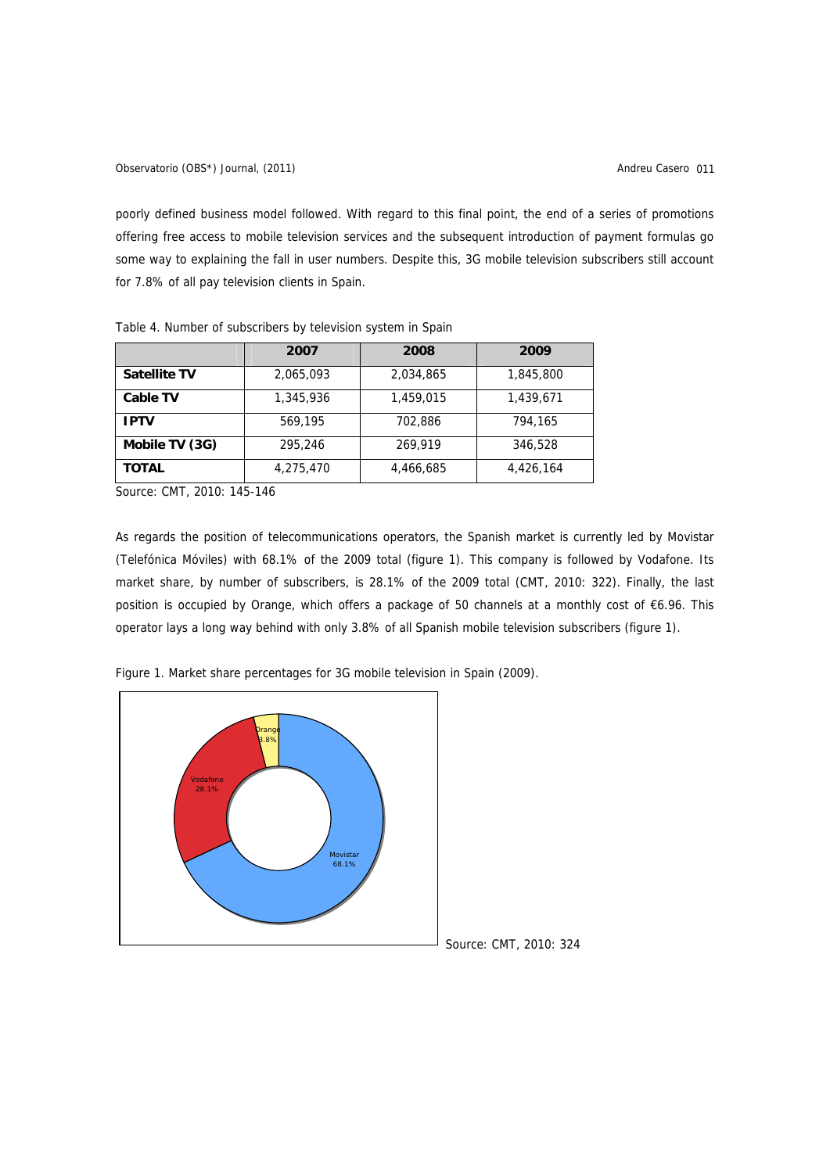poorly defined business model followed. With regard to this final point, the end of a series of promotions offering free access to mobile television services and the subsequent introduction of payment formulas go some way to explaining the fall in user numbers. Despite this, 3G mobile television subscribers still account for 7.8% of all pay television clients in Spain.

|                     | 2007      | 2008      | 2009      |  |  |
|---------------------|-----------|-----------|-----------|--|--|
| <b>Satellite TV</b> | 2,065,093 | 2,034,865 | 1,845,800 |  |  |
| <b>Cable TV</b>     | 1,345,936 | 1,459,015 | 1,439,671 |  |  |
| <b>IPTV</b>         | 569,195   | 702,886   | 794,165   |  |  |
| Mobile TV (3G)      | 295,246   | 269.919   | 346,528   |  |  |
| <b>TOTAL</b>        | 4,275,470 | 4,466,685 | 4,426,164 |  |  |

Table 4. Number of subscribers by television system in Spain

Source: CMT, 2010: 145-146

As regards the position of telecommunications operators, the Spanish market is currently led by Movistar (Telefónica Móviles) with 68.1% of the 2009 total (figure 1). This company is followed by Vodafone. Its market share, by number of subscribers, is 28.1% of the 2009 total (CMT, 2010: 322). Finally, the last position is occupied by Orange, which offers a package of 50 channels at a monthly cost of €6.96. This operator lays a long way behind with only 3.8% of all Spanish mobile television subscribers (figure 1).



Figure 1. Market share percentages for 3G mobile television in Spain (2009).

Source: CMT, 2010: 324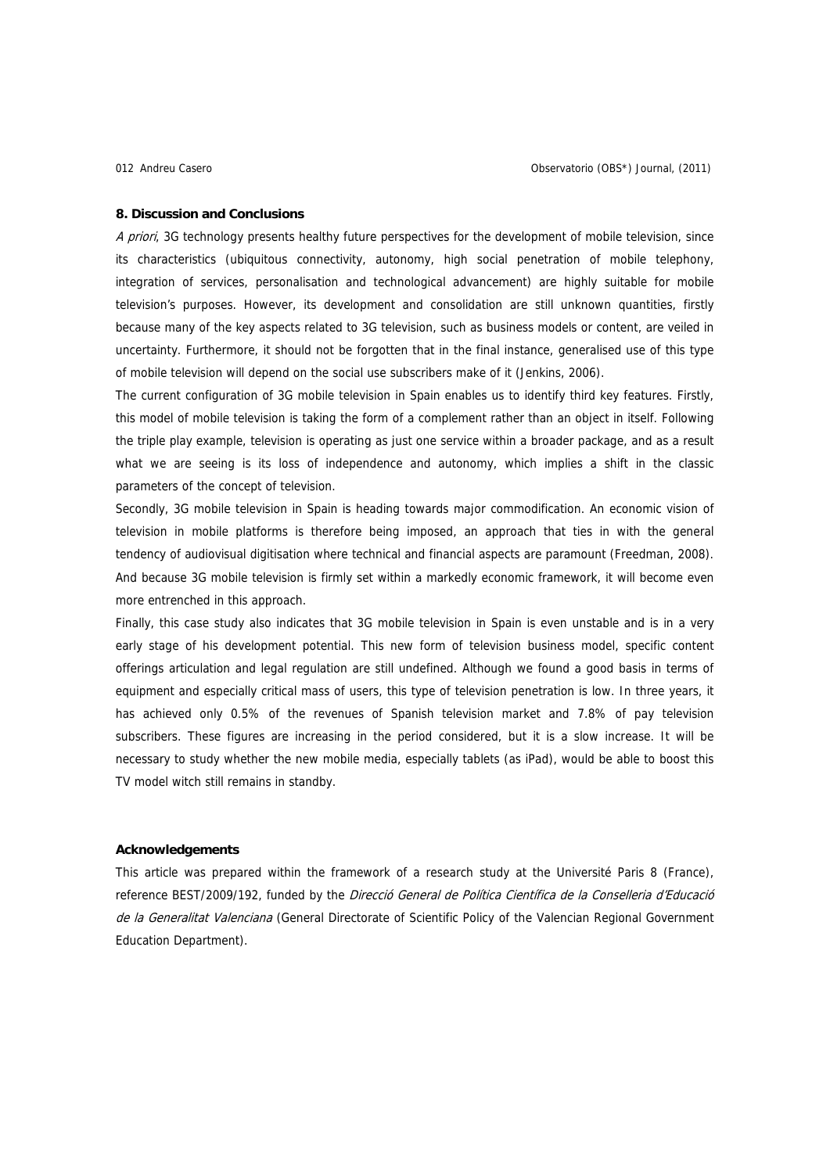### **8. Discussion and Conclusions**

A priori, 3G technology presents healthy future perspectives for the development of mobile television, since its characteristics (ubiquitous connectivity, autonomy, high social penetration of mobile telephony, integration of services, personalisation and technological advancement) are highly suitable for mobile television's purposes. However, its development and consolidation are still unknown quantities, firstly because many of the key aspects related to 3G television, such as business models or content, are veiled in uncertainty. Furthermore, it should not be forgotten that in the final instance, generalised use of this type of mobile television will depend on the social use subscribers make of it (Jenkins, 2006).

The current configuration of 3G mobile television in Spain enables us to identify third key features. Firstly, this model of mobile television is taking the form of a complement rather than an object in itself. Following the triple play example, television is operating as just one service within a broader package, and as a result what we are seeing is its loss of independence and autonomy, which implies a shift in the classic parameters of the concept of television.

Secondly, 3G mobile television in Spain is heading towards major commodification. An economic vision of television in mobile platforms is therefore being imposed, an approach that ties in with the general tendency of audiovisual digitisation where technical and financial aspects are paramount (Freedman, 2008). And because 3G mobile television is firmly set within a markedly economic framework, it will become even more entrenched in this approach.

Finally, this case study also indicates that 3G mobile television in Spain is even unstable and is in a very early stage of his development potential. This new form of television business model, specific content offerings articulation and legal regulation are still undefined. Although we found a good basis in terms of equipment and especially critical mass of users, this type of television penetration is low. In three years, it has achieved only 0.5% of the revenues of Spanish television market and 7.8% of pay television subscribers. These figures are increasing in the period considered, but it is a slow increase. It will be necessary to study whether the new mobile media, especially tablets (as iPad), would be able to boost this TV model witch still remains in standby.

# **Acknowledgements**

This article was prepared within the framework of a research study at the Université Paris 8 (France), reference BEST/2009/192, funded by the Direcció General de Política Científica de la Conselleria d'Educació de la Generalitat Valenciana (General Directorate of Scientific Policy of the Valencian Regional Government Education Department).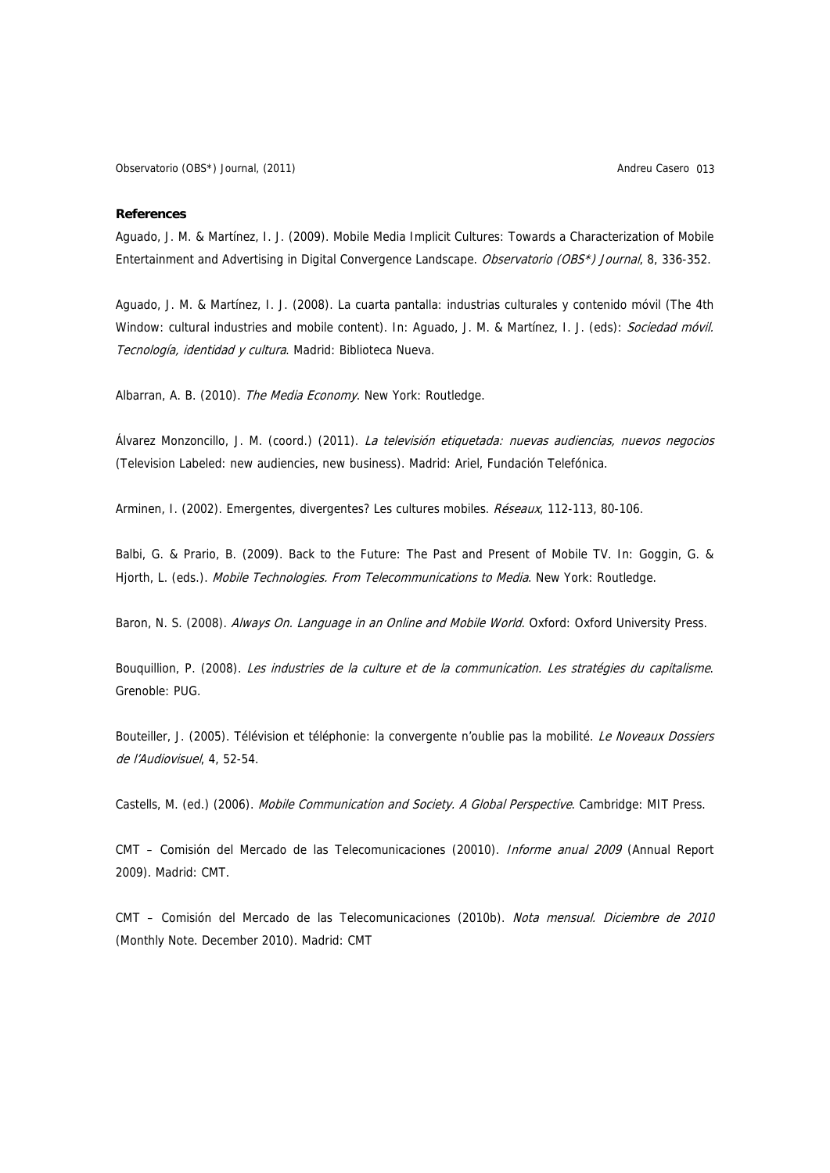### **References**

Aguado, J. M. & Martínez, I. J. (2009). Mobile Media Implicit Cultures: Towards a Characterization of Mobile Entertainment and Advertising in Digital Convergence Landscape. Observatorio (OBS\*) Journal, 8, 336-352.

Aguado, J. M. & Martínez, I. J. (2008). La cuarta pantalla: industrias culturales y contenido móvil (The 4th Window: cultural industries and mobile content). In: Aguado, J. M. & Martínez, I. J. (eds): Sociedad móvil. Tecnología, identidad y cultura. Madrid: Biblioteca Nueva.

Albarran, A. B. (2010). The Media Economy. New York: Routledge.

Álvarez Monzoncillo, J. M. (coord.) (2011). La televisión etiquetada: nuevas audiencias, nuevos negocios (Television Labeled: new audiencies, new business). Madrid: Ariel, Fundación Telefónica.

Arminen, I. (2002). Emergentes, divergentes? Les cultures mobiles. Réseaux, 112-113, 80-106.

Balbi, G. & Prario, B. (2009). Back to the Future: The Past and Present of Mobile TV. In: Goggin, G. & Hjorth, L. (eds.). Mobile Technologies. From Telecommunications to Media. New York: Routledge.

Baron, N. S. (2008). Always On. Language in an Online and Mobile World. Oxford: Oxford University Press.

Bouquillion, P. (2008). Les industries de la culture et de la communication. Les stratégies du capitalisme. Grenoble: PUG.

Bouteiller, J. (2005). Télévision et téléphonie: la convergente n'oublie pas la mobilité. Le Noveaux Dossiers de l'Audiovisuel, 4, 52-54.

Castells, M. (ed.) (2006). Mobile Communication and Society. A Global Perspective. Cambridge: MIT Press.

CMT – Comisión del Mercado de las Telecomunicaciones (20010). Informe anual 2009 (Annual Report 2009). Madrid: CMT.

CMT – Comisión del Mercado de las Telecomunicaciones (2010b). Nota mensual. Diciembre de 2010 (Monthly Note. December 2010). Madrid: CMT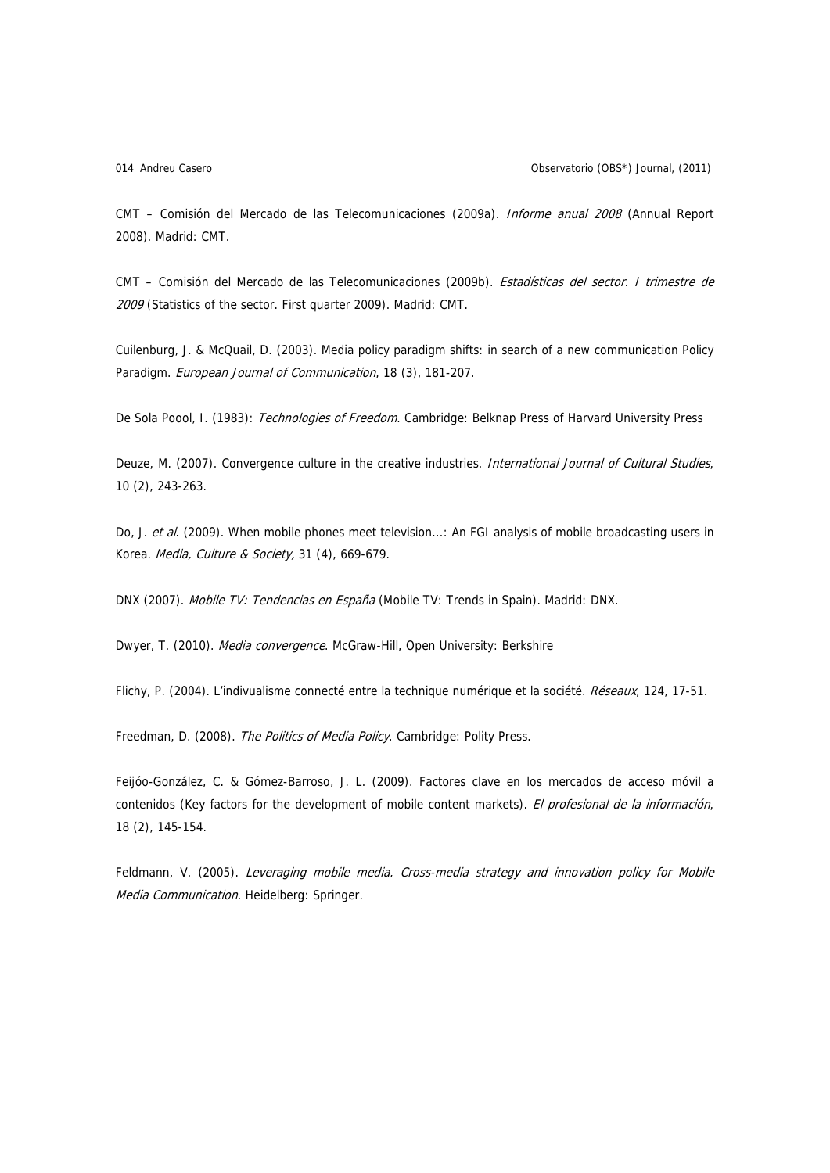CMT – Comisión del Mercado de las Telecomunicaciones (2009a). Informe anual 2008 (Annual Report 2008). Madrid: CMT.

CMT – Comisión del Mercado de las Telecomunicaciones (2009b). Estadísticas del sector. I trimestre de 2009 (Statistics of the sector. First quarter 2009). Madrid: CMT.

Cuilenburg, J. & McQuail, D. (2003). Media policy paradigm shifts: in search of a new communication Policy Paradigm. European Journal of Communication, 18 (3), 181-207.

De Sola Poool, I. (1983): Technologies of Freedom. Cambridge: Belknap Press of Harvard University Press

Deuze, M. (2007). Convergence culture in the creative industries. International Journal of Cultural Studies, 10 (2), 243-263.

Do, J. et al. (2009). When mobile phones meet television...: An FGI analysis of mobile broadcasting users in Korea. Media, Culture & Society, 31 (4), 669-679.

DNX (2007). Mobile TV: Tendencias en España (Mobile TV: Trends in Spain). Madrid: DNX.

Dwyer, T. (2010). Media convergence. McGraw-Hill, Open University: Berkshire

Flichy, P. (2004). L'indivualisme connecté entre la technique numérique et la société. Réseaux, 124, 17-51.

Freedman, D. (2008). The Politics of Media Policy. Cambridge: Polity Press.

Feijóo-González, C. & Gómez-Barroso, J. L. (2009). Factores clave en los mercados de acceso móvil a contenidos (Key factors for the development of mobile content markets). El profesional de la información, 18 (2), 145-154.

Feldmann, V. (2005). Leveraging mobile media. Cross-media strategy and innovation policy for Mobile Media Communication. Heidelberg: Springer.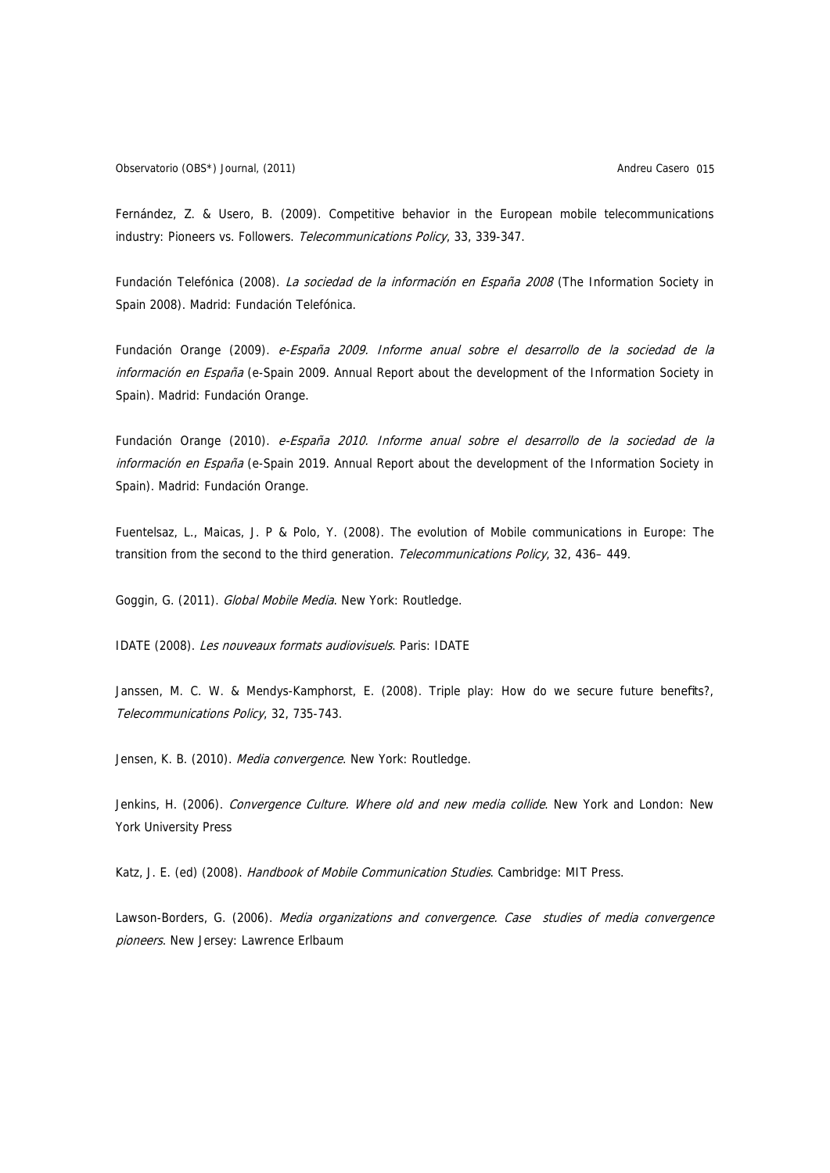Fernández, Z. & Usero, B. (2009). Competitive behavior in the European mobile telecommunications industry: Pioneers vs. Followers. Telecommunications Policy, 33, 339-347.

Fundación Telefónica (2008). La sociedad de la información en España 2008 (The Information Society in Spain 2008). Madrid: Fundación Telefónica.

Fundación Orange (2009). e-España 2009. Informe anual sobre el desarrollo de la sociedad de la información en España (e-Spain 2009. Annual Report about the development of the Information Society in Spain). Madrid: Fundación Orange.

Fundación Orange (2010). e-España 2010. Informe anual sobre el desarrollo de la sociedad de la información en España (e-Spain 2019. Annual Report about the development of the Information Society in Spain). Madrid: Fundación Orange.

Fuentelsaz, L., Maicas, J. P & Polo, Y. (2008). The evolution of Mobile communications in Europe: The transition from the second to the third generation. Telecommunications Policy, 32, 436–449.

Goggin, G. (2011). Global Mobile Media. New York: Routledge.

IDATE (2008). Les nouveaux formats audiovisuels. Paris: IDATE

Janssen, M. C. W. & Mendys-Kamphorst, E. (2008). Triple play: How do we secure future benefits?, Telecommunications Policy, 32, 735-743.

Jensen, K. B. (2010). Media convergence. New York: Routledge.

Jenkins, H. (2006). Convergence Culture. Where old and new media collide. New York and London: New York University Press

Katz, J. E. (ed) (2008). Handbook of Mobile Communication Studies. Cambridge: MIT Press.

Lawson-Borders, G. (2006). Media organizations and convergence. Case studies of media convergence pioneers. New Jersey: Lawrence Erlbaum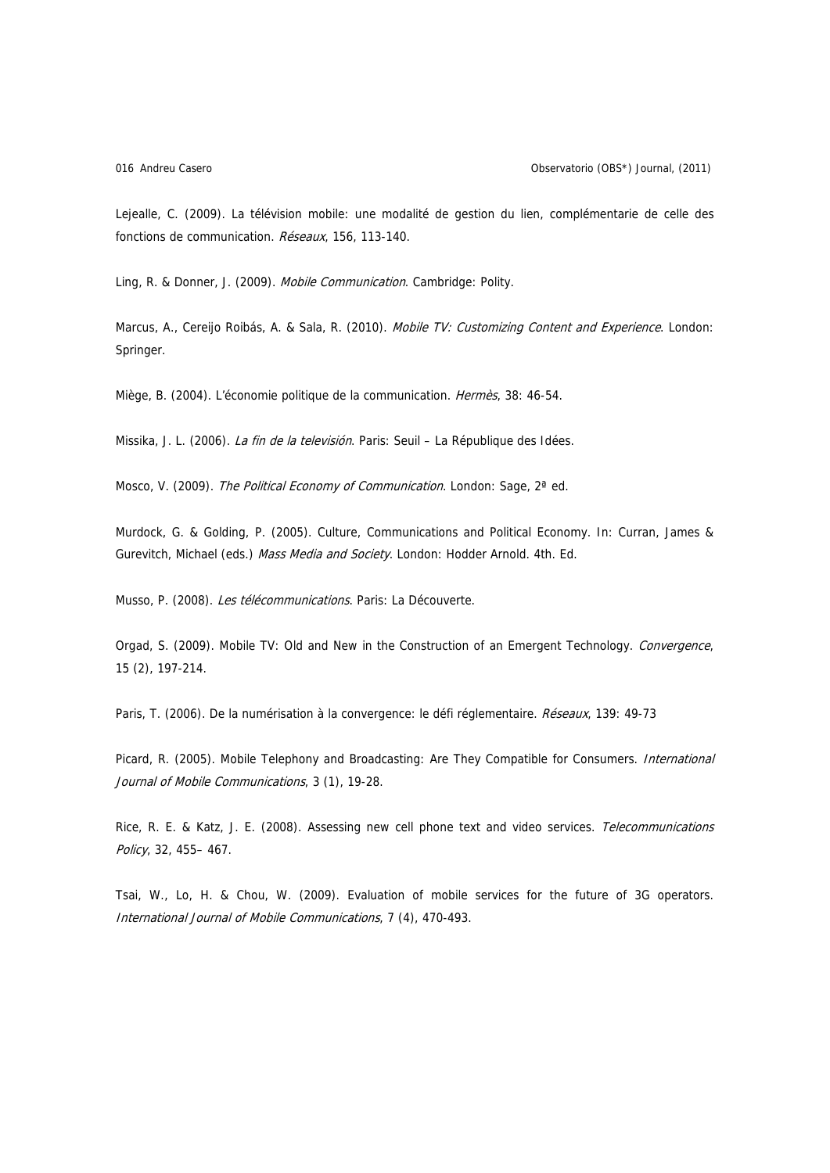Lejealle, C. (2009). La télévision mobile: une modalité de gestion du lien, complémentarie de celle des fonctions de communication. Réseaux, 156, 113-140.

Ling, R. & Donner, J. (2009). Mobile Communication. Cambridge: Polity.

Marcus, A., Cereijo Roibás, A. & Sala, R. (2010). Mobile TV: Customizing Content and Experience. London: Springer.

Miège, B. (2004). L'économie politique de la communication. Hermès, 38: 46-54.

Missika, J. L. (2006). La fin de la televisión. Paris: Seuil - La République des Idées.

Mosco, V. (2009). The Political Economy of Communication. London: Sage, 2<sup>ª</sup> ed.

Murdock, G. & Golding, P. (2005). Culture, Communications and Political Economy. In: Curran, James & Gurevitch, Michael (eds.) Mass Media and Society. London: Hodder Arnold. 4th. Ed.

Musso, P. (2008). Les télécommunications. Paris: La Découverte.

Orgad, S. (2009). Mobile TV: Old and New in the Construction of an Emergent Technology. Convergence, 15 (2), 197-214.

Paris, T. (2006). De la numérisation à la convergence: le défi réglementaire. Réseaux, 139: 49-73

Picard, R. (2005). Mobile Telephony and Broadcasting: Are They Compatible for Consumers. *International* Journal of Mobile Communications, 3 (1), 19-28.

Rice, R. E. & Katz, J. E. (2008). Assessing new cell phone text and video services. Telecommunications Policy, 32, 455– 467.

Tsai, W., Lo, H. & Chou, W. (2009). Evaluation of mobile services for the future of 3G operators. International Journal of Mobile Communications, 7 (4), 470-493.